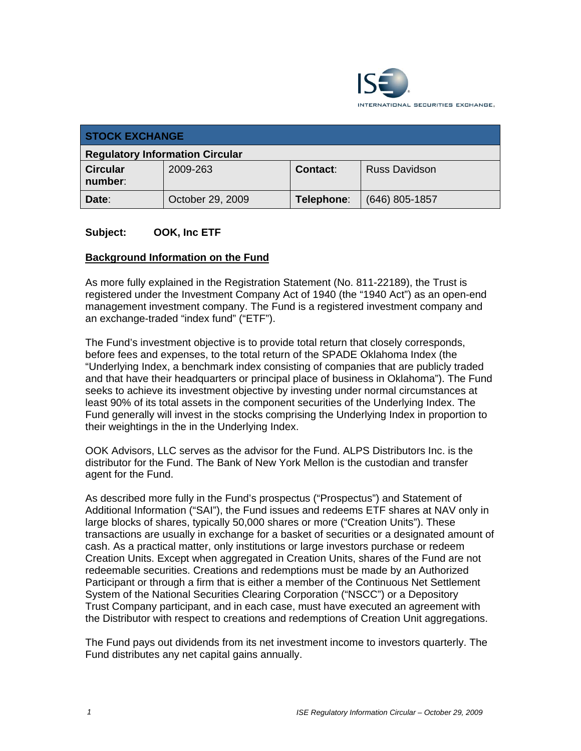

| <b>STOCK EXCHANGE</b>                  |                  |            |                      |  |
|----------------------------------------|------------------|------------|----------------------|--|
| <b>Regulatory Information Circular</b> |                  |            |                      |  |
| <b>Circular</b><br>number:             | 2009-263         | Contact:   | <b>Russ Davidson</b> |  |
| Date:                                  | October 29, 2009 | Telephone: | $(646)$ 805-1857     |  |

#### **Subject: OOK, Inc ETF**

#### **Background Information on the Fund**

As more fully explained in the Registration Statement (No. 811-22189), the Trust is registered under the Investment Company Act of 1940 (the "1940 Act") as an open-end management investment company. The Fund is a registered investment company and an exchange-traded "index fund" ("ETF").

The Fund's investment objective is to provide total return that closely corresponds, before fees and expenses, to the total return of the SPADE Oklahoma Index (the "Underlying Index, a benchmark index consisting of companies that are publicly traded and that have their headquarters or principal place of business in Oklahoma"). The Fund seeks to achieve its investment objective by investing under normal circumstances at least 90% of its total assets in the component securities of the Underlying Index. The Fund generally will invest in the stocks comprising the Underlying Index in proportion to their weightings in the in the Underlying Index.

OOK Advisors, LLC serves as the advisor for the Fund. ALPS Distributors Inc. is the distributor for the Fund. The Bank of New York Mellon is the custodian and transfer agent for the Fund.

As described more fully in the Fund's prospectus ("Prospectus") and Statement of Additional Information ("SAI"), the Fund issues and redeems ETF shares at NAV only in large blocks of shares, typically 50,000 shares or more ("Creation Units"). These transactions are usually in exchange for a basket of securities or a designated amount of cash. As a practical matter, only institutions or large investors purchase or redeem Creation Units. Except when aggregated in Creation Units, shares of the Fund are not redeemable securities. Creations and redemptions must be made by an Authorized Participant or through a firm that is either a member of the Continuous Net Settlement System of the National Securities Clearing Corporation ("NSCC") or a Depository Trust Company participant, and in each case, must have executed an agreement with the Distributor with respect to creations and redemptions of Creation Unit aggregations.

The Fund pays out dividends from its net investment income to investors quarterly. The Fund distributes any net capital gains annually.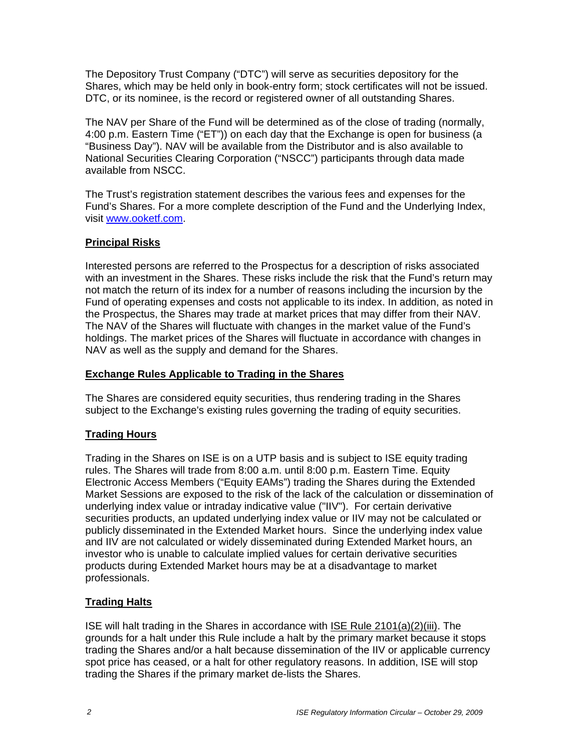The Depository Trust Company ("DTC") will serve as securities depository for the Shares, which may be held only in book-entry form; stock certificates will not be issued. DTC, or its nominee, is the record or registered owner of all outstanding Shares.

The NAV per Share of the Fund will be determined as of the close of trading (normally, 4:00 p.m. Eastern Time ("ET")) on each day that the Exchange is open for business (a "Business Day"). NAV will be available from the Distributor and is also available to National Securities Clearing Corporation ("NSCC") participants through data made available from NSCC.

The Trust's registration statement describes the various fees and expenses for the Fund's Shares. For a more complete description of the Fund and the Underlying Index, visit www.ooketf.com.

## **Principal Risks**

Interested persons are referred to the Prospectus for a description of risks associated with an investment in the Shares. These risks include the risk that the Fund's return may not match the return of its index for a number of reasons including the incursion by the Fund of operating expenses and costs not applicable to its index. In addition, as noted in the Prospectus, the Shares may trade at market prices that may differ from their NAV. The NAV of the Shares will fluctuate with changes in the market value of the Fund's holdings. The market prices of the Shares will fluctuate in accordance with changes in NAV as well as the supply and demand for the Shares.

### **Exchange Rules Applicable to Trading in the Shares**

The Shares are considered equity securities, thus rendering trading in the Shares subject to the Exchange's existing rules governing the trading of equity securities.

# **Trading Hours**

Trading in the Shares on ISE is on a UTP basis and is subject to ISE equity trading rules. The Shares will trade from 8:00 a.m. until 8:00 p.m. Eastern Time. Equity Electronic Access Members ("Equity EAMs") trading the Shares during the Extended Market Sessions are exposed to the risk of the lack of the calculation or dissemination of underlying index value or intraday indicative value ("IIV"). For certain derivative securities products, an updated underlying index value or IIV may not be calculated or publicly disseminated in the Extended Market hours. Since the underlying index value and IIV are not calculated or widely disseminated during Extended Market hours, an investor who is unable to calculate implied values for certain derivative securities products during Extended Market hours may be at a disadvantage to market professionals.

# **Trading Halts**

ISE will halt trading in the Shares in accordance with ISE Rule 2101(a)(2)(iii). The grounds for a halt under this Rule include a halt by the primary market because it stops trading the Shares and/or a halt because dissemination of the IIV or applicable currency spot price has ceased, or a halt for other regulatory reasons. In addition, ISE will stop trading the Shares if the primary market de-lists the Shares.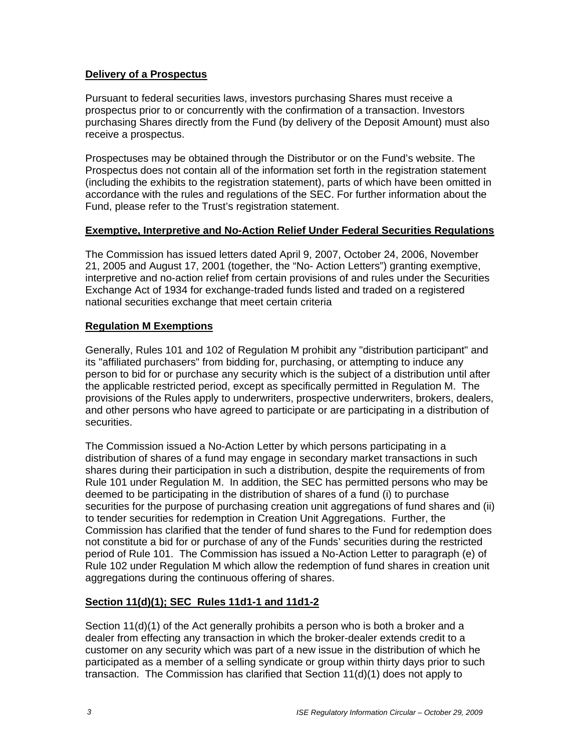#### **Delivery of a Prospectus**

Pursuant to federal securities laws, investors purchasing Shares must receive a prospectus prior to or concurrently with the confirmation of a transaction. Investors purchasing Shares directly from the Fund (by delivery of the Deposit Amount) must also receive a prospectus.

Prospectuses may be obtained through the Distributor or on the Fund's website. The Prospectus does not contain all of the information set forth in the registration statement (including the exhibits to the registration statement), parts of which have been omitted in accordance with the rules and regulations of the SEC. For further information about the Fund, please refer to the Trust's registration statement.

#### **Exemptive, Interpretive and No-Action Relief Under Federal Securities Regulations**

The Commission has issued letters dated April 9, 2007, October 24, 2006, November 21, 2005 and August 17, 2001 (together, the "No- Action Letters") granting exemptive, interpretive and no-action relief from certain provisions of and rules under the Securities Exchange Act of 1934 for exchange-traded funds listed and traded on a registered national securities exchange that meet certain criteria

## **Regulation M Exemptions**

Generally, Rules 101 and 102 of Regulation M prohibit any "distribution participant" and its "affiliated purchasers" from bidding for, purchasing, or attempting to induce any person to bid for or purchase any security which is the subject of a distribution until after the applicable restricted period, except as specifically permitted in Regulation M. The provisions of the Rules apply to underwriters, prospective underwriters, brokers, dealers, and other persons who have agreed to participate or are participating in a distribution of securities.

The Commission issued a No-Action Letter by which persons participating in a distribution of shares of a fund may engage in secondary market transactions in such shares during their participation in such a distribution, despite the requirements of from Rule 101 under Regulation M. In addition, the SEC has permitted persons who may be deemed to be participating in the distribution of shares of a fund (i) to purchase securities for the purpose of purchasing creation unit aggregations of fund shares and (ii) to tender securities for redemption in Creation Unit Aggregations. Further, the Commission has clarified that the tender of fund shares to the Fund for redemption does not constitute a bid for or purchase of any of the Funds' securities during the restricted period of Rule 101. The Commission has issued a No-Action Letter to paragraph (e) of Rule 102 under Regulation M which allow the redemption of fund shares in creation unit aggregations during the continuous offering of shares.

# **Section 11(d)(1); SEC Rules 11d1-1 and 11d1-2**

Section 11(d)(1) of the Act generally prohibits a person who is both a broker and a dealer from effecting any transaction in which the broker-dealer extends credit to a customer on any security which was part of a new issue in the distribution of which he participated as a member of a selling syndicate or group within thirty days prior to such transaction. The Commission has clarified that Section 11(d)(1) does not apply to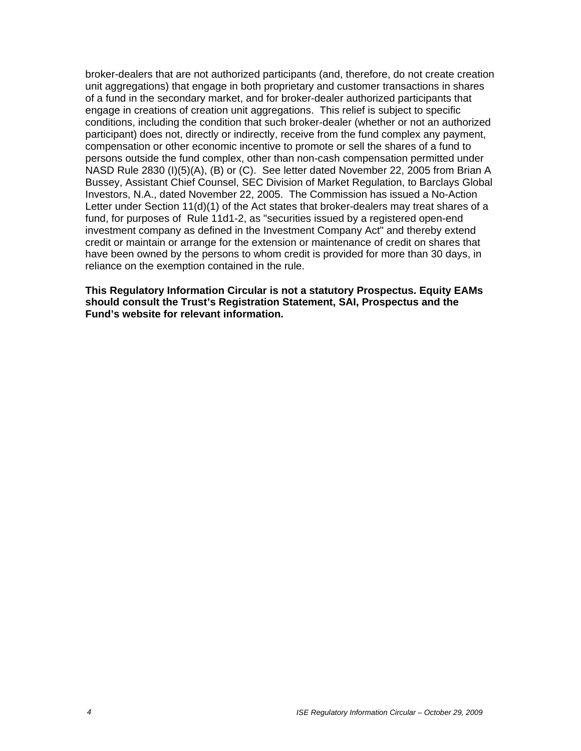broker-dealers that are not authorized participants (and, therefore, do not create creation unit aggregations) that engage in both proprietary and customer transactions in shares of a fund in the secondary market, and for broker-dealer authorized participants that engage in creations of creation unit aggregations. This relief is subject to specific conditions, including the condition that such broker-dealer (whether or not an authorized participant) does not, directly or indirectly, receive from the fund complex any payment, compensation or other economic incentive to promote or sell the shares of a fund to persons outside the fund complex, other than non-cash compensation permitted under NASD Rule 2830 (I)(5)(A), (B) or (C). See letter dated November 22, 2005 from Brian A Bussey, Assistant Chief Counsel, SEC Division of Market Regulation, to Barclays Global Investors, N.A., dated November 22, 2005. The Commission has issued a No-Action Letter under Section 11(d)(1) of the Act states that broker-dealers may treat shares of a fund, for purposes of Rule 11d1-2, as "securities issued by a registered open-end investment company as defined in the Investment Company Act" and thereby extend credit or maintain or arrange for the extension or maintenance of credit on shares that have been owned by the persons to whom credit is provided for more than 30 days, in reliance on the exemption contained in the rule.

**This Regulatory Information Circular is not a statutory Prospectus. Equity EAMs should consult the Trust's Registration Statement, SAI, Prospectus and the Fund's website for relevant information.**